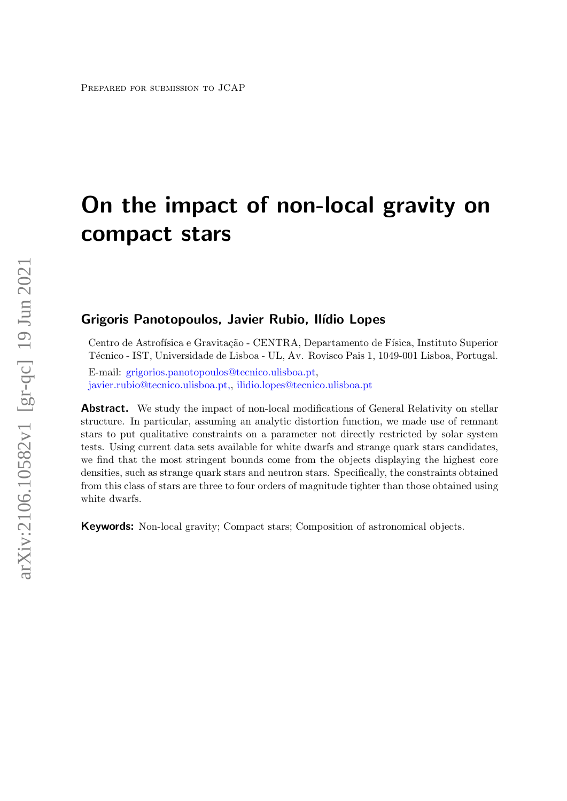# On the impact of non-local gravity on compact stars

# Grigoris Panotopoulos, Javier Rubio, Ilídio Lopes

Centro de Astrofísica e Gravitação - CENTRA, Departamento de Física, Instituto Superior T´ecnico - IST, Universidade de Lisboa - UL, Av. Rovisco Pais 1, 1049-001 Lisboa, Portugal.

E-mail: [grigorios.panotopoulos@tecnico.ulisboa.pt,](mailto:grigorios.panotopoulos@tecnico.ulisboa.pt) [javier.rubio@tecnico.ulisboa.pt,,](mailto:javier.rubio@tecnico.ulisboa.pt,) [ilidio.lopes@tecnico.ulisboa.pt](mailto:ilidio.lopes@tecnico.ulisboa.pt)

Abstract. We study the impact of non-local modifications of General Relativity on stellar structure. In particular, assuming an analytic distortion function, we made use of remnant stars to put qualitative constraints on a parameter not directly restricted by solar system tests. Using current data sets available for white dwarfs and strange quark stars candidates, we find that the most stringent bounds come from the objects displaying the highest core densities, such as strange quark stars and neutron stars. Specifically, the constraints obtained from this class of stars are three to four orders of magnitude tighter than those obtained using white dwarfs.

Keywords: Non-local gravity; Compact stars; Composition of astronomical objects.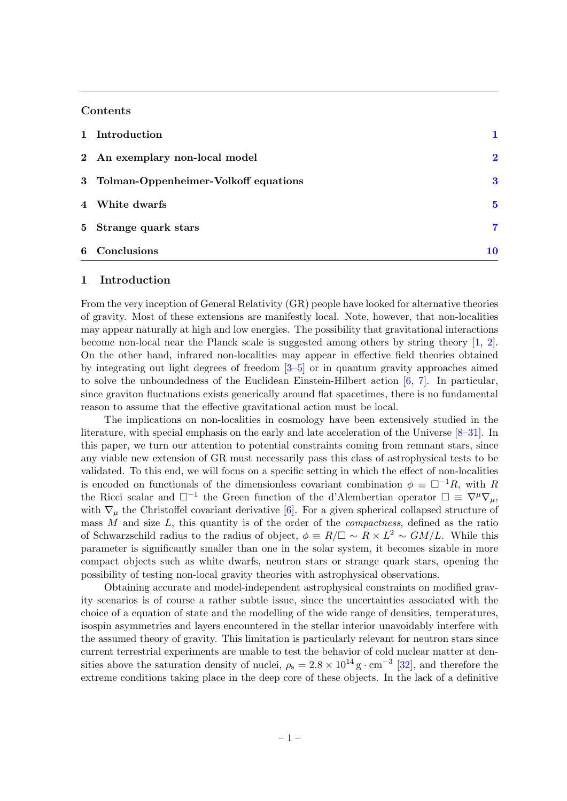# Contents

| 1 Introduction                         |                         |
|----------------------------------------|-------------------------|
| 2 An exemplary non-local model         | $\overline{\mathbf{2}}$ |
| 3 Tolman-Oppenheimer-Volkoff equations | 3                       |
| 4 White dwarfs                         | 5                       |
| 5 Strange quark stars                  | 7                       |
| 6 Conclusions                          | 10                      |

#### <span id="page-1-0"></span>1 Introduction

From the very inception of General Relativity (GR) people have looked for alternative theories of gravity. Most of these extensions are manifestly local. Note, however, that non-localities may appear naturally at high and low energies. The possibility that gravitational interactions become non-local near the Planck scale is suggested among others by string theory [\[1,](#page-11-0) [2\]](#page-11-1). On the other hand, infrared non-localities may appear in effective field theories obtained by integrating out light degrees of freedom [\[3–](#page-11-2)[5\]](#page-11-3) or in quantum gravity approaches aimed to solve the unboundedness of the Euclidean Einstein-Hilbert action  $[6, 7]$  $[6, 7]$ . In particular, since graviton fluctuations exists generically around flat spacetimes, there is no fundamental reason to assume that the effective gravitational action must be local.

The implications on non-localities in cosmology have been extensively studied in the literature, with special emphasis on the early and late acceleration of the Universe [\[8–](#page-12-2)[31\]](#page-13-0). In this paper, we turn our attention to potential constraints coming from remnant stars, since any viable new extension of GR must necessarily pass this class of astrophysical tests to be validated. To this end, we will focus on a specific setting in which the effect of non-localities is encoded on functionals of the dimensionless covariant combination  $\phi \equiv \Box^{-1}R$ , with R the Ricci scalar and  $\square^{-1}$  the Green function of the d'Alembertian operator  $\square \equiv \nabla^{\mu} \nabla_{\mu}$ , with  $\nabla_{\mu}$  the Christoffel covariant derivative [\[6\]](#page-12-0). For a given spherical collapsed structure of mass  $M$  and size  $L$ , this quantity is of the order of the *compactness*, defined as the ratio of Schwarzschild radius to the radius of object,  $\phi = R/\Box \sim R \times L^2 \sim GM/L$ . While this parameter is significantly smaller than one in the solar system, it becomes sizable in more compact objects such as white dwarfs, neutron stars or strange quark stars, opening the possibility of testing non-local gravity theories with astrophysical observations.

Obtaining accurate and model-independent astrophysical constraints on modified gravity scenarios is of course a rather subtle issue, since the uncertainties associated with the choice of a equation of state and the modelling of the wide range of densities, temperatures, isospin asymmetries and layers encountered in the stellar interior unavoidably interfere with the assumed theory of gravity. This limitation is particularly relevant for neutron stars since current terrestrial experiments are unable to test the behavior of cold nuclear matter at densities above the saturation density of nuclei,  $\rho_s = 2.8 \times 10^{14} \text{ g} \cdot \text{cm}^{-3}$  [\[32\]](#page-13-1), and therefore the extreme conditions taking place in the deep core of these objects. In the lack of a definitive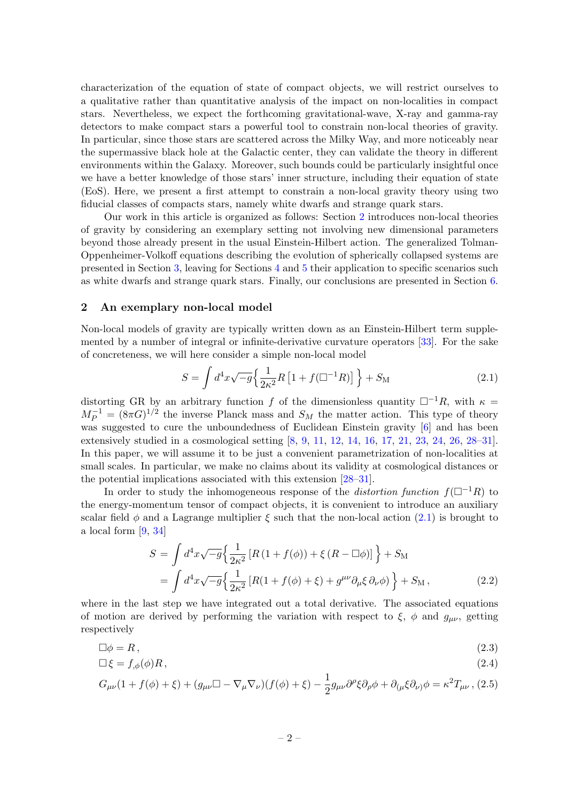characterization of the equation of state of compact objects, we will restrict ourselves to a qualitative rather than quantitative analysis of the impact on non-localities in compact stars. Nevertheless, we expect the forthcoming gravitational-wave, X-ray and gamma-ray detectors to make compact stars a powerful tool to constrain non-local theories of gravity. In particular, since those stars are scattered across the Milky Way, and more noticeably near the supermassive black hole at the Galactic center, they can validate the theory in different environments within the Galaxy. Moreover, such bounds could be particularly insightful once we have a better knowledge of those stars' inner structure, including their equation of state (EoS). Here, we present a first attempt to constrain a non-local gravity theory using two fiducial classes of compacts stars, namely white dwarfs and strange quark stars.

Our work in this article is organized as follows: Section [2](#page-2-0) introduces non-local theories of gravity by considering an exemplary setting not involving new dimensional parameters beyond those already present in the usual Einstein-Hilbert action. The generalized Tolman-Oppenheimer-Volkoff equations describing the evolution of spherically collapsed systems are presented in Section [3,](#page-3-0) leaving for Sections [4](#page-5-0) and [5](#page-7-0) their application to specific scenarios such as white dwarfs and strange quark stars. Finally, our conclusions are presented in Section [6.](#page-10-0)

#### <span id="page-2-0"></span>2 An exemplary non-local model

Non-local models of gravity are typically written down as an Einstein-Hilbert term supplemented by a number of integral or infinite-derivative curvature operators [\[33\]](#page-13-2). For the sake of concreteness, we will here consider a simple non-local model

<span id="page-2-1"></span>
$$
S = \int d^4x \sqrt{-g} \left\{ \frac{1}{2\kappa^2} R \left[ 1 + f(\Box^{-1}R) \right] \right\} + S_{\rm M}
$$
 (2.1)

distorting GR by an arbitrary function f of the dimensionless quantity  $\Box^{-1}R$ , with  $\kappa =$  $M_P^{-1} = (8\pi G)^{1/2}$  the inverse Planck mass and  $S_M$  the matter action. This type of theory was suggested to cure the unboundedness of Euclidean Einstein gravity  $[6]$  and has been extensively studied in a cosmological setting [\[8,](#page-12-2) [9,](#page-12-3) [11,](#page-12-4) [12,](#page-12-5) [14,](#page-12-6) [16,](#page-12-7) [17,](#page-12-8) [21,](#page-12-9) [23,](#page-12-10) [24,](#page-12-11) [26,](#page-12-12) [28–](#page-13-3)[31\]](#page-13-0). In this paper, we will assume it to be just a convenient parametrization of non-localities at small scales. In particular, we make no claims about its validity at cosmological distances or the potential implications associated with this extension [\[28–](#page-13-3)[31\]](#page-13-0).

In order to study the inhomogeneous response of the *distortion function*  $f(\Box^{-1}R)$  to the energy-momentum tensor of compact objects, it is convenient to introduce an auxiliary scalar field  $\phi$  and a Lagrange multiplier  $\xi$  such that the non-local action [\(2.1\)](#page-2-1) is brought to a local form [\[9,](#page-12-3) [34\]](#page-13-4)

<span id="page-2-3"></span>
$$
S = \int d^4x \sqrt{-g} \left\{ \frac{1}{2\kappa^2} \left[ R \left( 1 + f(\phi) \right) + \xi \left( R - \Box \phi \right) \right] \right\} + S_M
$$
  
= 
$$
\int d^4x \sqrt{-g} \left\{ \frac{1}{2\kappa^2} \left[ R(1 + f(\phi) + \xi) + g^{\mu\nu} \partial_\mu \xi \partial_\nu \phi \right) \right\} + S_M ,
$$
 (2.2)

where in the last step we have integrated out a total derivative. The associated equations of motion are derived by performing the variation with respect to  $\xi$ ,  $\phi$  and  $g_{\mu\nu}$ , getting respectively

<span id="page-2-2"></span>
$$
\Box \phi = R \,,\tag{2.3}
$$

$$
\Box \xi = f_{,\phi}(\phi)R\,,\tag{2.4}
$$

$$
G_{\mu\nu}(1+f(\phi)+\xi)+(g_{\mu\nu}\Box-\nabla_{\mu}\nabla_{\nu})(f(\phi)+\xi)-\frac{1}{2}g_{\mu\nu}\partial^{\rho}\xi\partial_{\rho}\phi+\partial_{(\mu}\xi\partial_{\nu)}\phi=\kappa^2T_{\mu\nu},
$$
 (2.5)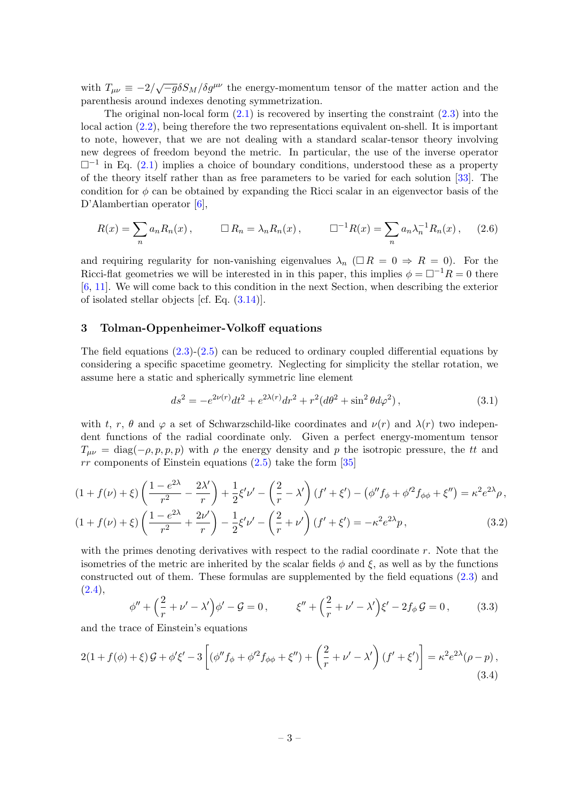with  $T_{\mu\nu} \equiv -2/\sqrt{-g}\delta S_M/\delta g^{\mu\nu}$  the energy-momentum tensor of the matter action and the parenthesis around indexes denoting symmetrization.

The original non-local form  $(2.1)$  is recovered by inserting the constraint  $(2.3)$  into the local action [\(2.2\)](#page-2-3), being therefore the two representations equivalent on-shell. It is important to note, however, that we are not dealing with a standard scalar-tensor theory involving new degrees of freedom beyond the metric. In particular, the use of the inverse operator  $\square^{-1}$  in Eq. [\(2.1\)](#page-2-1) implies a choice of boundary conditions, understood these as a property of the theory itself rather than as free parameters to be varied for each solution [\[33\]](#page-13-2). The condition for  $\phi$  can be obtained by expanding the Ricci scalar in an eigenvector basis of the D'Alambertian operator [\[6\]](#page-12-0),

$$
R(x) = \sum_{n} a_n R_n(x), \qquad \Box R_n = \lambda_n R_n(x), \qquad \Box^{-1} R(x) = \sum_{n} a_n \lambda_n^{-1} R_n(x), \qquad (2.6)
$$

and requiring regularity for non-vanishing eigenvalues  $\lambda_n$  ( $\Box R = 0 \Rightarrow R = 0$ ). For the Ricci-flat geometries we will be interested in in this paper, this implies  $\phi = \Box^{-1}R = 0$  there [\[6,](#page-12-0) [11\]](#page-12-4). We will come back to this condition in the next Section, when describing the exterior of isolated stellar objects [cf. Eq. [\(3.14\)](#page-5-1)].

# <span id="page-3-0"></span>3 Tolman-Oppenheimer-Volkoff equations

The field equations  $(2.3)-(2.5)$  $(2.3)-(2.5)$  can be reduced to ordinary coupled differential equations by considering a specific spacetime geometry. Neglecting for simplicity the stellar rotation, we assume here a static and spherically symmetric line element

$$
ds^{2} = -e^{2\nu(r)}dt^{2} + e^{2\lambda(r)}dr^{2} + r^{2}(d\theta^{2} + \sin^{2}\theta d\varphi^{2}),
$$
\n(3.1)

with t, r,  $\theta$  and  $\varphi$  a set of Schwarzschild-like coordinates and  $\nu(r)$  and  $\lambda(r)$  two independent functions of the radial coordinate only. Given a perfect energy-momentum tensor  $T_{\mu\nu} = \text{diag}(-\rho, p, p, p)$  with  $\rho$  the energy density and p the isotropic pressure, the tt and  $rr$  components of Einstein equations  $(2.5)$  take the form [\[35\]](#page-13-5)

<span id="page-3-1"></span>
$$
(1 + f(\nu) + \xi) \left( \frac{1 - e^{2\lambda}}{r^2} - \frac{2\lambda'}{r} \right) + \frac{1}{2} \xi' \nu' - \left( \frac{2}{r} - \lambda' \right) (f' + \xi') - \left( \phi'' f_{\phi} + \phi'^2 f_{\phi \phi} + \xi'' \right) = \kappa^2 e^{2\lambda} \rho,
$$
  

$$
(1 + f(\nu) + \xi) \left( \frac{1 - e^{2\lambda}}{r^2} + \frac{2\nu'}{r} \right) - \frac{1}{2} \xi' \nu' - \left( \frac{2}{r} + \nu' \right) (f' + \xi') = -\kappa^2 e^{2\lambda} p,
$$
 (3.2)

with the primes denoting derivatives with respect to the radial coordinate  $r$ . Note that the isometries of the metric are inherited by the scalar fields  $\phi$  and  $\xi$ , as well as by the functions constructed out of them. These formulas are supplemented by the field equations [\(2.3\)](#page-2-2) and  $(2.4),$  $(2.4),$ 

<span id="page-3-2"></span>
$$
\phi'' + \left(\frac{2}{r} + \nu' - \lambda'\right)\phi' - \mathcal{G} = 0, \qquad \xi'' + \left(\frac{2}{r} + \nu' - \lambda'\right)\xi' - 2f_{\phi}\mathcal{G} = 0, \qquad (3.3)
$$

and the trace of Einstein's equations

$$
2(1+f(\phi)+\xi)\mathcal{G}+\phi'\xi'-3\left[(\phi''f_{\phi}+\phi'^{2}f_{\phi\phi}+\xi'')+\left(\frac{2}{r}+\nu'-\lambda'\right)(f'+\xi')\right]=\kappa^{2}e^{2\lambda}(\rho-p),\tag{3.4}
$$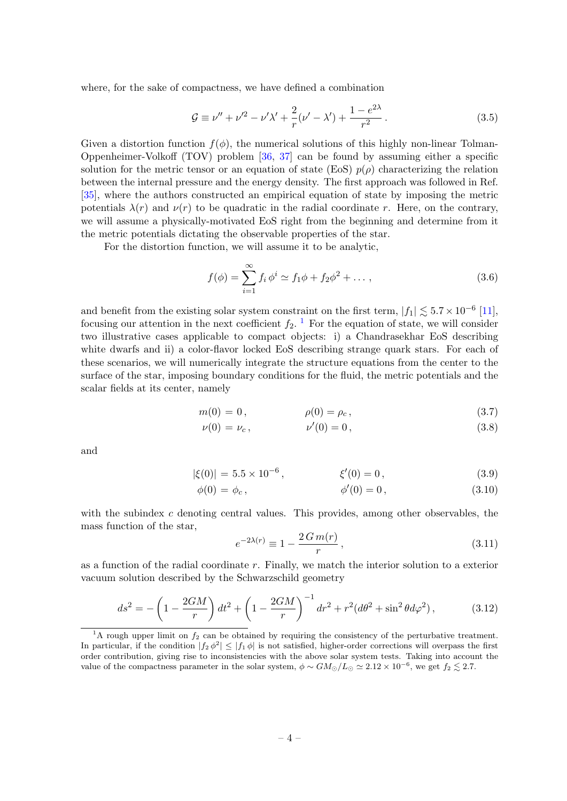where, for the sake of compactness, we have defined a combination

$$
\mathcal{G} \equiv \nu'' + \nu'^2 - \nu' \lambda' + \frac{2}{r} (\nu' - \lambda') + \frac{1 - e^{2\lambda}}{r^2}.
$$
 (3.5)

Given a distortion function  $f(\phi)$ , the numerical solutions of this highly non-linear Tolman-Oppenheimer-Volkoff (TOV) problem [\[36,](#page-13-6) [37\]](#page-13-7) can be found by assuming either a specific solution for the metric tensor or an equation of state (EoS)  $p(\rho)$  characterizing the relation between the internal pressure and the energy density. The first approach was followed in Ref. [\[35\]](#page-13-5), where the authors constructed an empirical equation of state by imposing the metric potentials  $\lambda(r)$  and  $\nu(r)$  to be quadratic in the radial coordinate r. Here, on the contrary, we will assume a physically-motivated EoS right from the beginning and determine from it the metric potentials dictating the observable properties of the star.

For the distortion function, we will assume it to be analytic,

<span id="page-4-1"></span>
$$
f(\phi) = \sum_{i=1}^{\infty} f_i \, \phi^i \simeq f_1 \phi + f_2 \phi^2 + \dots \,, \tag{3.6}
$$

and benefit from the existing solar system constraint on the first term,  $|f_1| \lesssim 5.7 \times 10^{-6}$  [\[11\]](#page-12-4), focusing our attention in the next coefficient  $f_2$ .<sup>[1](#page-4-0)</sup> For the equation of state, we will consider two illustrative cases applicable to compact objects: i) a Chandrasekhar EoS describing white dwarfs and ii) a color-flavor locked EoS describing strange quark stars. For each of these scenarios, we will numerically integrate the structure equations from the center to the surface of the star, imposing boundary conditions for the fluid, the metric potentials and the scalar fields at its center, namely

$$
m(0) = 0, \qquad \rho(0) = \rho_c, \qquad (3.7)
$$

$$
\nu(0) = \nu_c, \qquad \nu'(0) = 0, \qquad (3.8)
$$

and

$$
|\xi(0)| = 5.5 \times 10^{-6}, \qquad \xi'(0) = 0, \qquad (3.9)
$$

$$
\phi(0) = \phi_c, \qquad \phi'(0) = 0, \qquad (3.10)
$$

with the subindex  $c$  denoting central values. This provides, among other observables, the mass function of the star,

$$
e^{-2\lambda(r)} \equiv 1 - \frac{2\,G\,m(r)}{r},\tag{3.11}
$$

as a function of the radial coordinate r. Finally, we match the interior solution to a exterior vacuum solution described by the Schwarzschild geometry

$$
ds^{2} = -\left(1 - \frac{2GM}{r}\right)dt^{2} + \left(1 - \frac{2GM}{r}\right)^{-1}dr^{2} + r^{2}(d\theta^{2} + \sin^{2}\theta d\varphi^{2}),
$$
 (3.12)

<span id="page-4-0"></span><sup>&</sup>lt;sup>1</sup>A rough upper limit on  $f_2$  can be obtained by requiring the consistency of the perturbative treatment. In particular, if the condition  $|f_2 \phi^2| \leq |f_1 \phi|$  is not satisfied, higher-order corrections will overpass the first order contribution, giving rise to inconsistencies with the above solar system tests. Taking into account the value of the compactness parameter in the solar system,  $\phi \sim GM_{\odot}/L_{\odot} \simeq 2.12 \times 10^{-6}$ , we get  $f_2 \lesssim 2.7$ .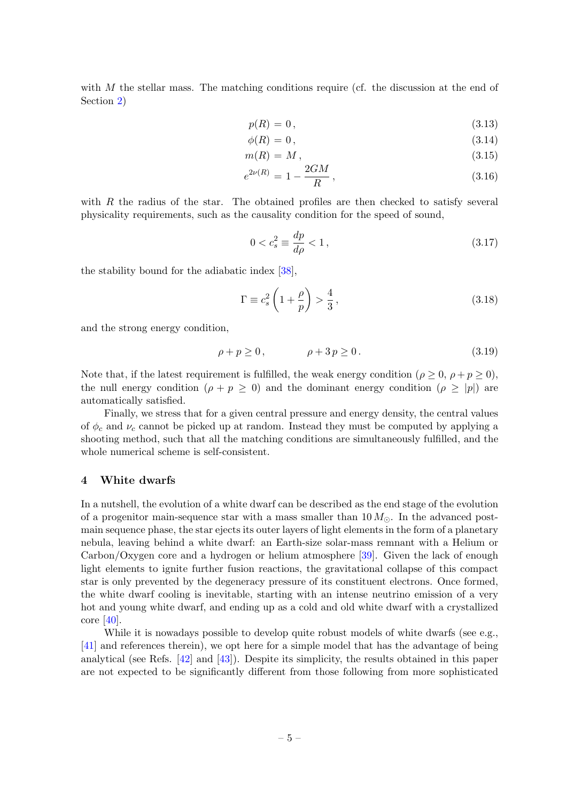with M the stellar mass. The matching conditions require (cf. the discussion at the end of Section [2\)](#page-2-0)

<span id="page-5-1"></span>
$$
p(R) = 0,\t\t(3.13)
$$

$$
\phi(R) = 0,\tag{3.14}
$$

$$
m(R) = M, \tag{3.15}
$$

$$
e^{2\nu(R)} = 1 - \frac{2GM}{R},\tag{3.16}
$$

with  $R$  the radius of the star. The obtained profiles are then checked to satisfy several physicality requirements, such as the causality condition for the speed of sound,

<span id="page-5-2"></span>
$$
0 < c_s^2 \equiv \frac{dp}{d\rho} < 1\,,\tag{3.17}
$$

the stability bound for the adiabatic index [\[38\]](#page-13-8),

<span id="page-5-3"></span>
$$
\Gamma \equiv c_s^2 \left( 1 + \frac{\rho}{p} \right) > \frac{4}{3},\tag{3.18}
$$

and the strong energy condition,

<span id="page-5-4"></span>
$$
\rho + p \ge 0, \qquad \rho + 3p \ge 0. \tag{3.19}
$$

Note that, if the latest requirement is fulfilled, the weak energy condition ( $\rho \geq 0$ ,  $\rho + p \geq 0$ ), the null energy condition  $(\rho + p \geq 0)$  and the dominant energy condition  $(\rho \geq |p|)$  are automatically satisfied.

Finally, we stress that for a given central pressure and energy density, the central values of  $\phi_c$  and  $\nu_c$  cannot be picked up at random. Instead they must be computed by applying a shooting method, such that all the matching conditions are simultaneously fulfilled, and the whole numerical scheme is self-consistent.

### <span id="page-5-0"></span>4 White dwarfs

In a nutshell, the evolution of a white dwarf can be described as the end stage of the evolution of a progenitor main-sequence star with a mass smaller than  $10 M_{\odot}$ . In the advanced postmain sequence phase, the star ejects its outer layers of light elements in the form of a planetary nebula, leaving behind a white dwarf: an Earth-size solar-mass remnant with a Helium or Carbon/Oxygen core and a hydrogen or helium atmosphere [\[39\]](#page-13-9). Given the lack of enough light elements to ignite further fusion reactions, the gravitational collapse of this compact star is only prevented by the degeneracy pressure of its constituent electrons. Once formed, the white dwarf cooling is inevitable, starting with an intense neutrino emission of a very hot and young white dwarf, and ending up as a cold and old white dwarf with a crystallized core [\[40\]](#page-13-10).

While it is nowadays possible to develop quite robust models of white dwarfs (see e.g., [\[41\]](#page-13-11) and references therein), we opt here for a simple model that has the advantage of being analytical (see Refs. [\[42\]](#page-13-12) and [\[43\]](#page-13-13)). Despite its simplicity, the results obtained in this paper are not expected to be significantly different from those following from more sophisticated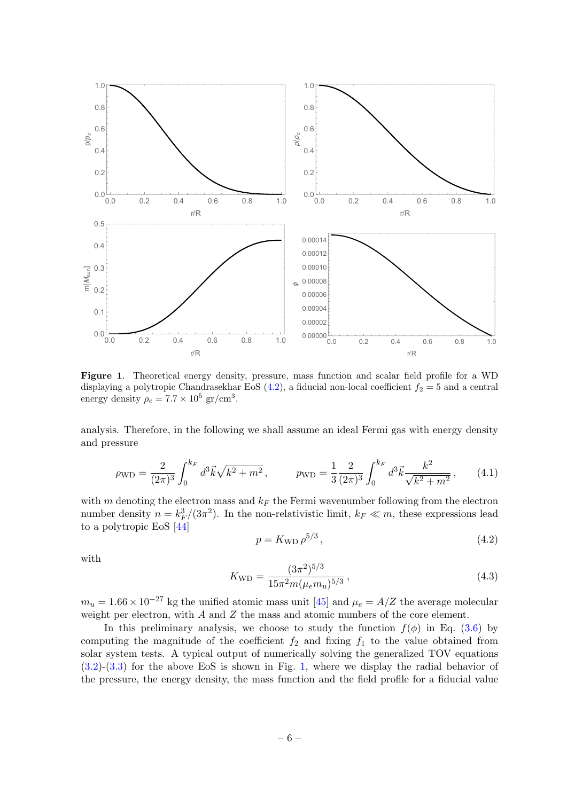

<span id="page-6-1"></span>Figure 1. Theoretical energy density, pressure, mass function and scalar field profile for a WD displaying a polytropic Chandrasekhar EoS  $(4.2)$ , a fiducial non-local coefficient  $f_2 = 5$  and a central energy density  $\rho_c = 7.7 \times 10^5 \text{ gr/cm}^3$ .

analysis. Therefore, in the following we shall assume an ideal Fermi gas with energy density and pressure

$$
\rho_{\rm WD} = \frac{2}{(2\pi)^3} \int_0^{k_F} d^3 \vec{k} \sqrt{k^2 + m^2} \,, \qquad p_{\rm WD} = \frac{1}{3} \frac{2}{(2\pi)^3} \int_0^{k_F} d^3 \vec{k} \frac{k^2}{\sqrt{k^2 + m^2}} \,, \qquad (4.1)
$$

with m denoting the electron mass and  $k_F$  the Fermi wavenumber following from the electron number density  $n = k_F^3/(3\pi^2)$ . In the non-relativistic limit,  $k_F \ll m$ , these expressions lead to a polytropic EoS [\[44\]](#page-13-14)

<span id="page-6-0"></span>
$$
p = K_{\rm WD} \,\rho^{5/3} \,,\tag{4.2}
$$

with

$$
K_{\rm WD} = \frac{(3\pi^2)^{5/3}}{15\pi^2 m(\mu_e m_u)^{5/3}},\tag{4.3}
$$

 $m_u = 1.66 \times 10^{-27}$  kg the unified atomic mass unit [\[45\]](#page-13-15) and  $\mu_e = A/Z$  the average molecular weight per electron, with  $A$  and  $Z$  the mass and atomic numbers of the core element.

In this preliminary analysis, we choose to study the function  $f(\phi)$  in Eq. [\(3.6\)](#page-4-1) by computing the magnitude of the coefficient  $f_2$  and fixing  $f_1$  to the value obtained from solar system tests. A typical output of numerically solving the generalized TOV equations [\(3.2\)](#page-3-1)-[\(3.3\)](#page-3-2) for the above EoS is shown in Fig. [1,](#page-6-1) where we display the radial behavior of the pressure, the energy density, the mass function and the field profile for a fiducial value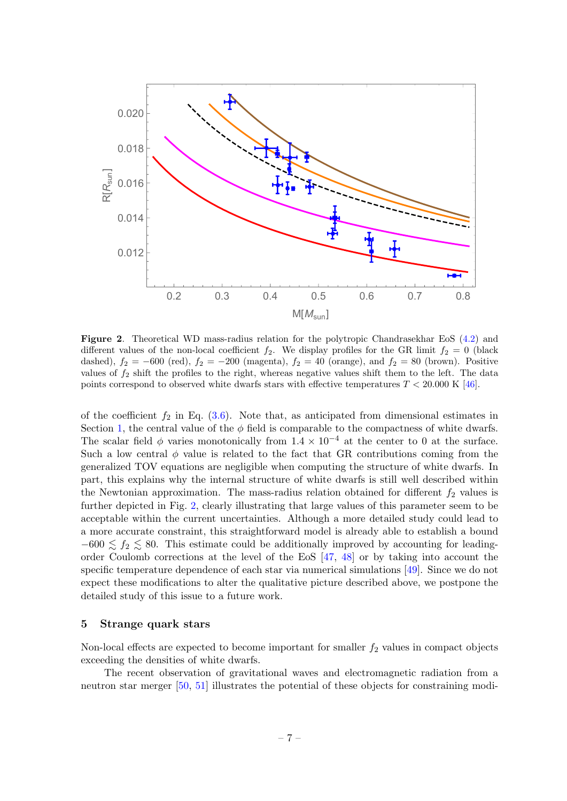

<span id="page-7-1"></span>Figure 2. Theoretical WD mass-radius relation for the polytropic Chandrasekhar EoS [\(4.2\)](#page-6-0) and different values of the non-local coefficient  $f_2$ . We display profiles for the GR limit  $f_2 = 0$  (black dashed),  $f_2 = -600$  (red),  $f_2 = -200$  (magenta),  $f_2 = 40$  (orange), and  $f_2 = 80$  (brown). Positive values of  $f_2$  shift the profiles to the right, whereas negative values shift them to the left. The data points correspond to observed white dwarfs stars with effective temperatures  $T < 20.000 \text{ K}$  [\[46\]](#page-13-16).

of the coefficient  $f_2$  in Eq. [\(3.6\)](#page-4-1). Note that, as anticipated from dimensional estimates in Section [1,](#page-1-0) the central value of the  $\phi$  field is comparable to the compactness of white dwarfs. The scalar field  $\phi$  varies monotonically from 1.4 × 10<sup>-4</sup> at the center to 0 at the surface. Such a low central  $\phi$  value is related to the fact that GR contributions coming from the generalized TOV equations are negligible when computing the structure of white dwarfs. In part, this explains why the internal structure of white dwarfs is still well described within the Newtonian approximation. The mass-radius relation obtained for different  $f_2$  values is further depicted in Fig. [2,](#page-7-1) clearly illustrating that large values of this parameter seem to be acceptable within the current uncertainties. Although a more detailed study could lead to a more accurate constraint, this straightforward model is already able to establish a bound  $-600 \lesssim f_2 \lesssim 80$ . This estimate could be additionally improved by accounting for leadingorder Coulomb corrections at the level of the EoS [\[47,](#page-13-17) [48\]](#page-13-18) or by taking into account the specific temperature dependence of each star via numerical simulations [\[49\]](#page-14-0). Since we do not expect these modifications to alter the qualitative picture described above, we postpone the detailed study of this issue to a future work.

#### <span id="page-7-0"></span>5 Strange quark stars

Non-local effects are expected to become important for smaller  $f_2$  values in compact objects exceeding the densities of white dwarfs.

The recent observation of gravitational waves and electromagnetic radiation from a neutron star merger [\[50,](#page-14-1) [51\]](#page-14-2) illustrates the potential of these objects for constraining modi-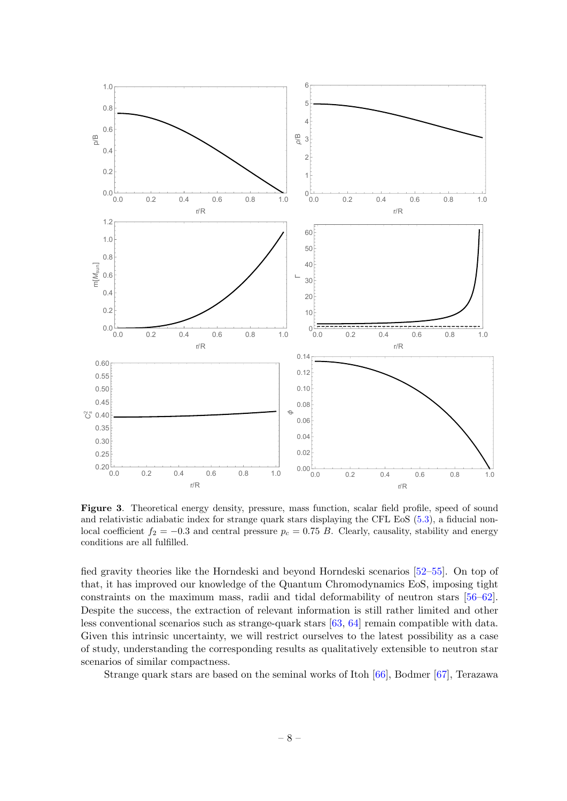

<span id="page-8-0"></span>Figure 3. Theoretical energy density, pressure, mass function, scalar field profile, speed of sound and relativistic adiabatic index for strange quark stars displaying the CFL EoS [\(5.3\)](#page-9-0), a fiducial nonlocal coefficient  $f_2 = -0.3$  and central pressure  $p_c = 0.75 B$ . Clearly, causality, stability and energy conditions are all fulfilled.

fied gravity theories like the Horndeski and beyond Horndeski scenarios [\[52–](#page-14-3)[55\]](#page-14-4). On top of that, it has improved our knowledge of the Quantum Chromodynamics EoS, imposing tight constraints on the maximum mass, radii and tidal deformability of neutron stars [\[56–](#page-14-5)[62\]](#page-14-6). Despite the success, the extraction of relevant information is still rather limited and other less conventional scenarios such as strange-quark stars [\[63,](#page-14-7) [64\]](#page-14-8) remain compatible with data. Given this intrinsic uncertainty, we will restrict ourselves to the latest possibility as a case of study, understanding the corresponding results as qualitatively extensible to neutron star scenarios of similar compactness.

Strange quark stars are based on the seminal works of Itoh [\[66\]](#page-14-9), Bodmer [\[67\]](#page-14-10), Terazawa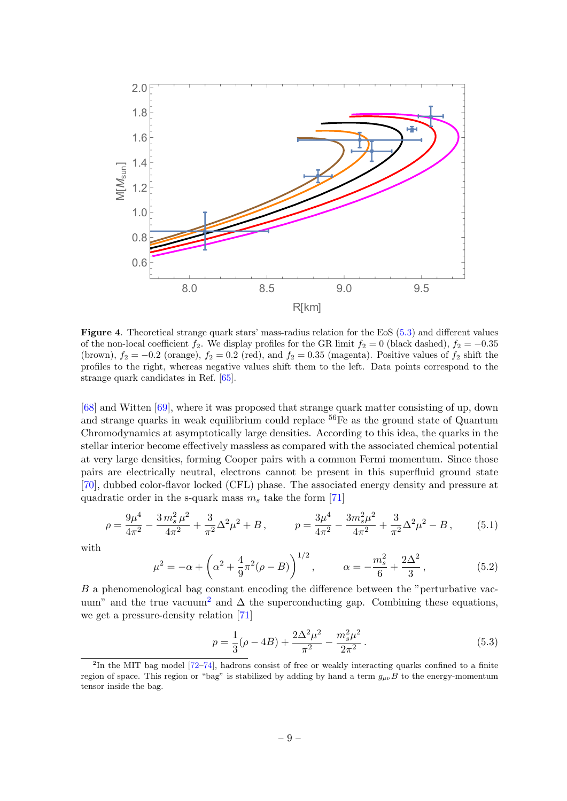

<span id="page-9-2"></span>Figure 4. Theoretical strange quark stars' mass-radius relation for the EoS [\(5.3\)](#page-9-0) and different values of the non-local coefficient  $f_2$ . We display profiles for the GR limit  $f_2 = 0$  (black dashed),  $f_2 = -0.35$ (brown),  $f_2 = -0.2$  (orange),  $f_2 = 0.2$  (red), and  $f_2 = 0.35$  (magenta). Positive values of  $f_2$  shift the profiles to the right, whereas negative values shift them to the left. Data points correspond to the strange quark candidates in Ref. [\[65\]](#page-14-11).

[\[68\]](#page-14-12) and Witten [\[69\]](#page-15-0), where it was proposed that strange quark matter consisting of up, down and strange quarks in weak equilibrium could replace  ${}^{56}Fe$  as the ground state of Quantum Chromodynamics at asymptotically large densities. According to this idea, the quarks in the stellar interior become effectively massless as compared with the associated chemical potential at very large densities, forming Cooper pairs with a common Fermi momentum. Since those pairs are electrically neutral, electrons cannot be present in this superfluid ground state [\[70\]](#page-15-1), dubbed color-flavor locked (CFL) phase. The associated energy density and pressure at quadratic order in the s-quark mass  $m_s$  take the form [\[71\]](#page-15-2)

$$
\rho = \frac{9\mu^4}{4\pi^2} - \frac{3\,m_s^2\,\mu^2}{4\pi^2} + \frac{3}{\pi^2}\Delta^2\mu^2 + B\,, \qquad p = \frac{3\mu^4}{4\pi^2} - \frac{3m_s^2\mu^2}{4\pi^2} + \frac{3}{\pi^2}\Delta^2\mu^2 - B\,, \tag{5.1}
$$

with

$$
\mu^2 = -\alpha + \left(\alpha^2 + \frac{4}{9}\pi^2(\rho - B)\right)^{1/2}, \qquad \alpha = -\frac{m_s^2}{6} + \frac{2\Delta^2}{3},\tag{5.2}
$$

 $B$  a phenomenological bag constant encoding the difference between the "perturbative vac-uum" and the true vacuum<sup>[2](#page-9-1)</sup> and  $\Delta$  the superconducting gap. Combining these equations, we get a pressure-density relation [\[71\]](#page-15-2)

<span id="page-9-0"></span>
$$
p = \frac{1}{3}(\rho - 4B) + \frac{2\Delta^2 \mu^2}{\pi^2} - \frac{m_s^2 \mu^2}{2\pi^2}.
$$
\n(5.3)

<span id="page-9-1"></span><sup>&</sup>lt;sup>2</sup>In the MIT bag model [\[72–](#page-15-3)[74\]](#page-15-4), hadrons consist of free or weakly interacting quarks confined to a finite region of space. This region or "bag" is stabilized by adding by hand a term  $g_{\mu\nu}B$  to the energy-momentum tensor inside the bag.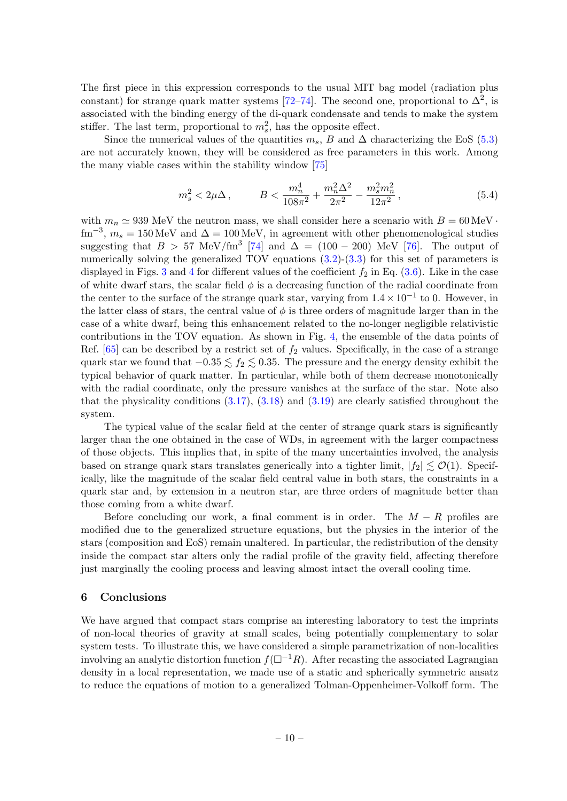The first piece in this expression corresponds to the usual MIT bag model (radiation plus constant) for strange quark matter systems [\[72–](#page-15-3)[74\]](#page-15-4). The second one, proportional to  $\Delta^2$ , is associated with the binding energy of the di-quark condensate and tends to make the system stiffer. The last term, proportional to  $m_s^2$ , has the opposite effect.

Since the numerical values of the quantities  $m_s$ , B and  $\Delta$  characterizing the EoS [\(5.3\)](#page-9-0) are not accurately known, they will be considered as free parameters in this work. Among the many viable cases within the stability window [\[75\]](#page-15-5)

$$
m_s^2 < 2\mu\Delta \,, \qquad B < \frac{m_n^4}{108\pi^2} + \frac{m_n^2\Delta^2}{2\pi^2} - \frac{m_s^2 m_n^2}{12\pi^2} \,, \tag{5.4}
$$

with  $m_n \simeq 939$  MeV the neutron mass, we shall consider here a scenario with  $B = 60 \,\text{MeV}$ .  $\text{fm}^{-3}$ ,  $m_s = 150 \text{ MeV}$  and  $\Delta = 100 \text{ MeV}$ , in agreement with other phenomenological studies suggesting that  $B > 57$  MeV/fm<sup>3</sup> [\[74\]](#page-15-4) and  $\Delta = (100 - 200)$  MeV [\[76\]](#page-15-6). The output of numerically solving the generalized TOV equations [\(3.2\)](#page-3-1)-[\(3.3\)](#page-3-2) for this set of parameters is displayed in Figs. [3](#page-8-0) and [4](#page-9-2) for different values of the coefficient  $f_2$  in Eq. [\(3.6\)](#page-4-1). Like in the case of white dwarf stars, the scalar field  $\phi$  is a decreasing function of the radial coordinate from the center to the surface of the strange quark star, varying from  $1.4 \times 10^{-1}$  to 0. However, in the latter class of stars, the central value of  $\phi$  is three orders of magnitude larger than in the case of a white dwarf, being this enhancement related to the no-longer negligible relativistic contributions in the TOV equation. As shown in Fig. [4,](#page-9-2) the ensemble of the data points of Ref.  $[65]$  can be described by a restrict set of  $f_2$  values. Specifically, in the case of a strange quark star we found that  $-0.35 \lesssim f_2 \lesssim 0.35$ . The pressure and the energy density exhibit the typical behavior of quark matter. In particular, while both of them decrease monotonically with the radial coordinate, only the pressure vanishes at the surface of the star. Note also that the physicality conditions  $(3.17)$ ,  $(3.18)$  and  $(3.19)$  are clearly satisfied throughout the system.

The typical value of the scalar field at the center of strange quark stars is significantly larger than the one obtained in the case of WDs, in agreement with the larger compactness of those objects. This implies that, in spite of the many uncertainties involved, the analysis based on strange quark stars translates generically into a tighter limit,  $|f_2| \leq \mathcal{O}(1)$ . Specifically, like the magnitude of the scalar field central value in both stars, the constraints in a quark star and, by extension in a neutron star, are three orders of magnitude better than those coming from a white dwarf.

Before concluding our work, a final comment is in order. The  $M - R$  profiles are modified due to the generalized structure equations, but the physics in the interior of the stars (composition and EoS) remain unaltered. In particular, the redistribution of the density inside the compact star alters only the radial profile of the gravity field, affecting therefore just marginally the cooling process and leaving almost intact the overall cooling time.

# <span id="page-10-0"></span>6 Conclusions

We have argued that compact stars comprise an interesting laboratory to test the imprints of non-local theories of gravity at small scales, being potentially complementary to solar system tests. To illustrate this, we have considered a simple parametrization of non-localities involving an analytic distortion function  $f(\Box^{-1}R)$ . After recasting the associated Lagrangian density in a local representation, we made use of a static and spherically symmetric ansatz to reduce the equations of motion to a generalized Tolman-Oppenheimer-Volkoff form. The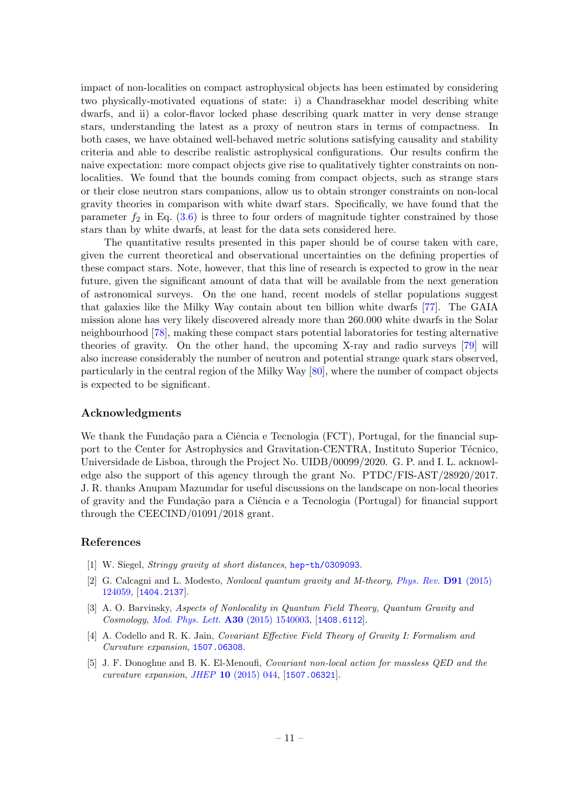impact of non-localities on compact astrophysical objects has been estimated by considering two physically-motivated equations of state: i) a Chandrasekhar model describing white dwarfs, and ii) a color-flavor locked phase describing quark matter in very dense strange stars, understanding the latest as a proxy of neutron stars in terms of compactness. In both cases, we have obtained well-behaved metric solutions satisfying causality and stability criteria and able to describe realistic astrophysical configurations. Our results confirm the naive expectation: more compact objects give rise to qualitatively tighter constraints on nonlocalities. We found that the bounds coming from compact objects, such as strange stars or their close neutron stars companions, allow us to obtain stronger constraints on non-local gravity theories in comparison with white dwarf stars. Specifically, we have found that the parameter  $f_2$  in Eq. [\(3.6\)](#page-4-1) is three to four orders of magnitude tighter constrained by those stars than by white dwarfs, at least for the data sets considered here.

The quantitative results presented in this paper should be of course taken with care, given the current theoretical and observational uncertainties on the defining properties of these compact stars. Note, however, that this line of research is expected to grow in the near future, given the significant amount of data that will be available from the next generation of astronomical surveys. On the one hand, recent models of stellar populations suggest that galaxies like the Milky Way contain about ten billion white dwarfs [\[77\]](#page-15-7). The GAIA mission alone has very likely discovered already more than 260.000 white dwarfs in the Solar neighbourhood [\[78\]](#page-15-8), making these compact stars potential laboratories for testing alternative theories of gravity. On the other hand, the upcoming X-ray and radio surveys [\[79\]](#page-15-9) will also increase considerably the number of neutron and potential strange quark stars observed, particularly in the central region of the Milky Way [\[80\]](#page-15-10), where the number of compact objects is expected to be significant.

#### Acknowledgments

We thank the Fundação para a Ciência e Tecnologia (FCT), Portugal, for the financial support to the Center for Astrophysics and Gravitation-CENTRA, Instituto Superior Técnico, Universidade de Lisboa, through the Project No. UIDB/00099/2020. G. P. and I. L. acknowledge also the support of this agency through the grant No. PTDC/FIS-AST/28920/2017. J. R. thanks Anupam Mazumdar for useful discussions on the landscape on non-local theories of gravity and the Funda¸c˜ao para a Ciˆencia e a Tecnologia (Portugal) for financial support through the CEECIND/01091/2018 grant.

# References

- <span id="page-11-0"></span>[1] W. Siegel, Stringy gravity at short distances, [hep-th/0309093](https://arxiv.org/abs/hep-th/0309093).
- <span id="page-11-1"></span>[2] G. Calcagni and L. Modesto, Nonlocal quantum gravity and M-theory, [Phys. Rev.](https://doi.org/10.1103/PhysRevD.91.124059) **D91** (2015) [124059,](https://doi.org/10.1103/PhysRevD.91.124059) [[1404.2137](https://arxiv.org/abs/1404.2137)].
- <span id="page-11-2"></span>[3] A. O. Barvinsky, Aspects of Nonlocality in Quantum Field Theory, Quantum Gravity and Cosmology, [Mod. Phys. Lett.](https://doi.org/10.1142/S0217732315400039) A30 (2015) 1540003, [[1408.6112](https://arxiv.org/abs/1408.6112)].
- [4] A. Codello and R. K. Jain, Covariant Effective Field Theory of Gravity I: Formalism and Curvature expansion, [1507.06308](https://arxiv.org/abs/1507.06308).
- <span id="page-11-3"></span>[5] J. F. Donoghue and B. K. El-Menoufi, Covariant non-local action for massless QED and the curvature expansion, JHEP 10 [\(2015\) 044,](https://doi.org/10.1007/JHEP10(2015)044) [[1507.06321](https://arxiv.org/abs/1507.06321)].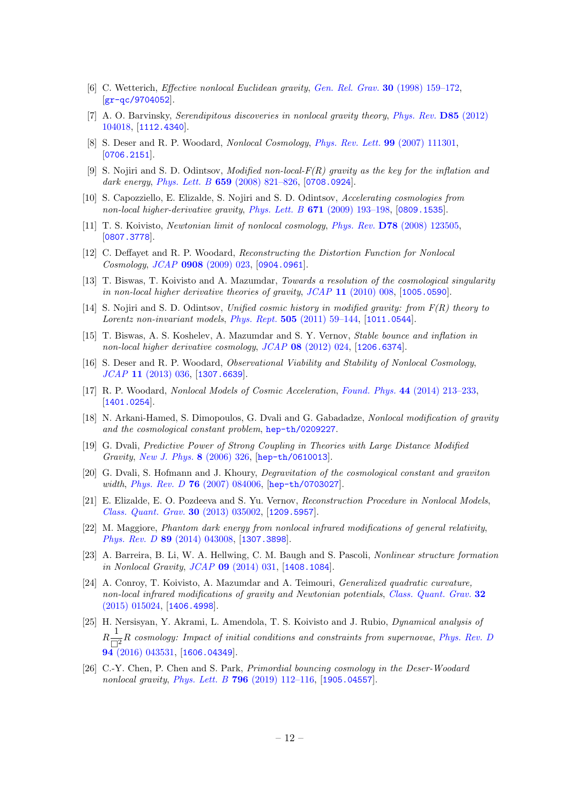- <span id="page-12-0"></span>[6] C. Wetterich, Effective nonlocal Euclidean gravity, [Gen. Rel. Grav.](https://doi.org/10.1023/A:1018837319976) 30 (1998) 159–172, [[gr-qc/9704052](https://arxiv.org/abs/gr-qc/9704052)].
- <span id="page-12-1"></span>[7] A. O. Barvinsky, Serendipitous discoveries in nonlocal gravity theory, [Phys. Rev.](https://doi.org/10.1103/PhysRevD.85.104018) D85 (2012) [104018,](https://doi.org/10.1103/PhysRevD.85.104018) [[1112.4340](https://arxiv.org/abs/1112.4340)].
- <span id="page-12-2"></span>[8] S. Deser and R. P. Woodard, Nonlocal Cosmology, [Phys. Rev. Lett.](https://doi.org/10.1103/PhysRevLett.99.111301) 99 (2007) 111301, [[0706.2151](https://arxiv.org/abs/0706.2151)].
- <span id="page-12-3"></span>[9] S. Nojiri and S. D. Odintsov, Modified non-local- $F(R)$  gravity as the key for the inflation and dark energy, Phys. Lett. B **659** (2008) 821-826, [[0708.0924](https://arxiv.org/abs/0708.0924)].
- [10] S. Capozziello, E. Elizalde, S. Nojiri and S. D. Odintsov, Accelerating cosmologies from non-local higher-derivative gravity, Phys. Lett. B  $671$  (2009) 193-198, [[0809.1535](https://arxiv.org/abs/0809.1535)].
- <span id="page-12-4"></span>[11] T. S. Koivisto, Newtonian limit of nonlocal cosmology, Phys. Rev. D78 [\(2008\) 123505,](https://doi.org/10.1103/PhysRevD.78.123505) [[0807.3778](https://arxiv.org/abs/0807.3778)].
- <span id="page-12-5"></span>[12] C. Deffayet and R. P. Woodard, Reconstructing the Distortion Function for Nonlocal Cosmology, JCAP 0908 [\(2009\) 023,](https://doi.org/10.1088/1475-7516/2009/08/023) [[0904.0961](https://arxiv.org/abs/0904.0961)].
- [13] T. Biswas, T. Koivisto and A. Mazumdar, Towards a resolution of the cosmological singularity in non-local higher derivative theories of gravity, JCAP 11 [\(2010\) 008,](https://doi.org/10.1088/1475-7516/2010/11/008) [[1005.0590](https://arxiv.org/abs/1005.0590)].
- <span id="page-12-6"></span>[14] S. Nojiri and S. D. Odintsov, Unified cosmic history in modified gravity: from F(R) theory to Lorentz non-invariant models, Phys. Rept.  $505$  [\(2011\) 59–144,](https://doi.org/10.1016/j.physrep.2011.04.001) [[1011.0544](https://arxiv.org/abs/1011.0544)].
- [15] T. Biswas, A. S. Koshelev, A. Mazumdar and S. Y. Vernov, Stable bounce and inflation in non-local higher derivative cosmology, JCAP 08 [\(2012\) 024,](https://doi.org/10.1088/1475-7516/2012/08/024) [[1206.6374](https://arxiv.org/abs/1206.6374)].
- <span id="page-12-7"></span>[16] S. Deser and R. P. Woodard, Observational Viability and Stability of Nonlocal Cosmology, JCAP 11 [\(2013\) 036,](https://doi.org/10.1088/1475-7516/2013/11/036) [[1307.6639](https://arxiv.org/abs/1307.6639)].
- <span id="page-12-8"></span>[17] R. P. Woodard, Nonlocal Models of Cosmic Acceleration, Found. Phys. 44 (2014) 213-233, [[1401.0254](https://arxiv.org/abs/1401.0254)].
- [18] N. Arkani-Hamed, S. Dimopoulos, G. Dvali and G. Gabadadze, Nonlocal modification of gravity and the cosmological constant problem, [hep-th/0209227](https://arxiv.org/abs/hep-th/0209227).
- [19] G. Dvali, Predictive Power of Strong Coupling in Theories with Large Distance Modified Gravity, [New J. Phys.](https://doi.org/10.1088/1367-2630/8/12/326) 8 (2006) 326, [[hep-th/0610013](https://arxiv.org/abs/hep-th/0610013)].
- [20] G. Dvali, S. Hofmann and J. Khoury, Degravitation of the cosmological constant and graviton width, Phys. Rev. D 76 [\(2007\) 084006,](https://doi.org/10.1103/PhysRevD.76.084006) [[hep-th/0703027](https://arxiv.org/abs/hep-th/0703027)].
- <span id="page-12-9"></span>[21] E. Elizalde, E. O. Pozdeeva and S. Yu. Vernov, Reconstruction Procedure in Nonlocal Models, [Class. Quant. Grav.](https://doi.org/10.1088/0264-9381/30/3/035002) 30 (2013) 035002, [[1209.5957](https://arxiv.org/abs/1209.5957)].
- [22] M. Maggiore, Phantom dark energy from nonlocal infrared modifications of general relativity, Phys. Rev. D 89 [\(2014\) 043008,](https://doi.org/10.1103/PhysRevD.89.043008) [[1307.3898](https://arxiv.org/abs/1307.3898)].
- <span id="page-12-10"></span>[23] A. Barreira, B. Li, W. A. Hellwing, C. M. Baugh and S. Pascoli, Nonlinear structure formation in Nonlocal Gravity, JCAP 09 [\(2014\) 031,](https://doi.org/10.1088/1475-7516/2014/09/031) [[1408.1084](https://arxiv.org/abs/1408.1084)].
- <span id="page-12-11"></span>[24] A. Conroy, T. Koivisto, A. Mazumdar and A. Teimouri, Generalized quadratic curvature, non-local infrared modifications of gravity and Newtonian potentials, [Class. Quant. Grav.](https://doi.org/10.1088/0264-9381/32/1/015024) 32  $(2015)$  015024, [[1406.4998](https://arxiv.org/abs/1406.4998)].
- [25] H. Nersisyan, Y. Akrami, L. Amendola, T. S. Koivisto and J. Rubio, Dynamical analysis of  $R\frac{1}{\Box}$  $\frac{1}{\Box^2}R$  cosmology: Impact of initial conditions and constraints from supernovae, [Phys. Rev. D](https://doi.org/10.1103/PhysRevD.94.043531)  $94(2016) 043531, [1606.04349]$  $94(2016) 043531, [1606.04349]$  $94(2016) 043531, [1606.04349]$  $94(2016) 043531, [1606.04349]$  $94(2016) 043531, [1606.04349]$ .
- <span id="page-12-12"></span>[26] C.-Y. Chen, P. Chen and S. Park, Primordial bouncing cosmology in the Deser-Woodard nonlocal gravity, Phys. Lett. B 796 [\(2019\) 112–116,](https://doi.org/10.1016/j.physletb.2019.07.024) [[1905.04557](https://arxiv.org/abs/1905.04557)].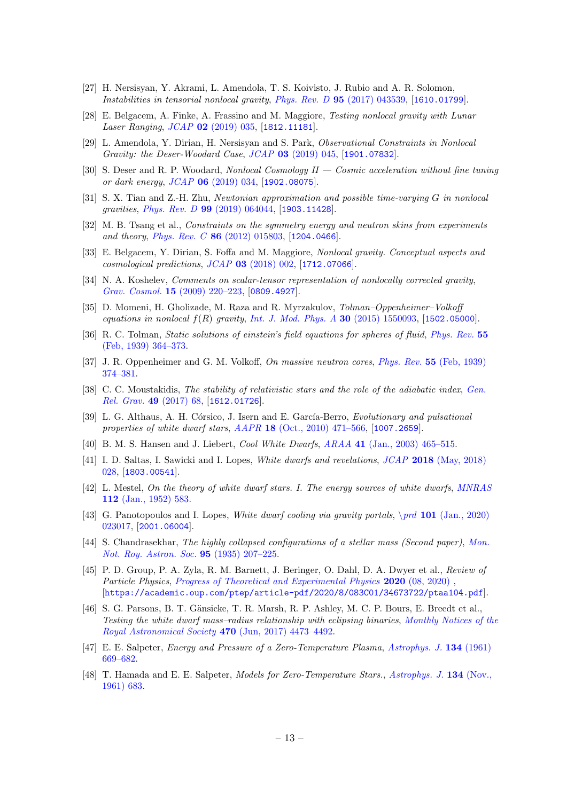- [27] H. Nersisyan, Y. Akrami, L. Amendola, T. S. Koivisto, J. Rubio and A. R. Solomon, Instabilities in tensorial nonlocal gravity, Phys. Rev. D 95 [\(2017\) 043539,](https://doi.org/10.1103/PhysRevD.95.043539) [[1610.01799](https://arxiv.org/abs/1610.01799)].
- <span id="page-13-3"></span>[28] E. Belgacem, A. Finke, A. Frassino and M. Maggiore, Testing nonlocal gravity with Lunar Laser Ranging, JCAP 02 [\(2019\) 035,](https://doi.org/10.1088/1475-7516/2019/02/035) [[1812.11181](https://arxiv.org/abs/1812.11181)].
- [29] L. Amendola, Y. Dirian, H. Nersisyan and S. Park, Observational Constraints in Nonlocal Gravity: the Deser-Woodard Case, JCAP 03 [\(2019\) 045,](https://doi.org/10.1088/1475-7516/2019/03/045) [[1901.07832](https://arxiv.org/abs/1901.07832)].
- [30] S. Deser and R. P. Woodard, Nonlocal Cosmology II Cosmic acceleration without fine tuning or dark energy, JCAP 06 [\(2019\) 034,](https://doi.org/10.1088/1475-7516/2019/06/034) [[1902.08075](https://arxiv.org/abs/1902.08075)].
- <span id="page-13-0"></span>[31] S. X. Tian and Z.-H. Zhu, Newtonian approximation and possible time-varying G in nonlocal gravities, Phys. Rev. D 99 [\(2019\) 064044,](https://doi.org/10.1103/PhysRevD.99.064044) [[1903.11428](https://arxiv.org/abs/1903.11428)].
- <span id="page-13-1"></span>[32] M. B. Tsang et al., Constraints on the symmetry energy and neutron skins from experiments and theory, Phys. Rev. C  $86$  [\(2012\) 015803,](https://doi.org/10.1103/PhysRevC.86.015803) [[1204.0466](https://arxiv.org/abs/1204.0466)].
- <span id="page-13-2"></span>[33] E. Belgacem, Y. Dirian, S. Foffa and M. Maggiore, Nonlocal gravity. Conceptual aspects and cosmological predictions, JCAP 03 [\(2018\) 002,](https://doi.org/10.1088/1475-7516/2018/03/002) [[1712.07066](https://arxiv.org/abs/1712.07066)].
- <span id="page-13-4"></span>[34] N. A. Koshelev, *Comments on scalar-tensor representation of nonlocally corrected gravity*, Grav. Cosmol. 15 [\(2009\) 220–223,](https://doi.org/10.1134/S0202289309030049) [[0809.4927](https://arxiv.org/abs/0809.4927)].
- <span id="page-13-5"></span>[35] D. Momeni, H. Gholizade, M. Raza and R. Myrzakulov, Tolman–Oppenheimer–Volkoff equations in nonlocal  $f(R)$  gravity, [Int. J. Mod. Phys. A](https://doi.org/10.1142/S0217751X15500931) 30 (2015) 1550093, [[1502.05000](https://arxiv.org/abs/1502.05000)].
- <span id="page-13-6"></span>[36] R. C. Tolman, Static solutions of einstein's field equations for spheres of fluid, [Phys. Rev.](https://doi.org/10.1103/PhysRev.55.364) 55 [\(Feb, 1939\) 364–373.](https://doi.org/10.1103/PhysRev.55.364)
- <span id="page-13-7"></span>[37] J. R. Oppenheimer and G. M. Volkoff, On massive neutron cores, Phys. Rev. 55 [\(Feb, 1939\)](https://doi.org/10.1103/PhysRev.55.374) [374–381.](https://doi.org/10.1103/PhysRev.55.374)
- <span id="page-13-8"></span>[38] C. C. Moustakidis, The stability of relativistic stars and the role of the adiabatic index, [Gen.](https://doi.org/10.1007/s10714-017-2232-9) [Rel. Grav.](https://doi.org/10.1007/s10714-017-2232-9) 49 (2017) 68, [[1612.01726](https://arxiv.org/abs/1612.01726)].
- <span id="page-13-9"></span>[39] L. G. Althaus, A. H. Córsico, J. Isern and E. García-Berro, Evolutionary and pulsational properties of white dwarf stars,  $AAPR$  18 [\(Oct., 2010\) 471–566,](https://doi.org/10.1007/s00159-010-0033-1) [[1007.2659](https://arxiv.org/abs/1007.2659)].
- <span id="page-13-10"></span>[40] B. M. S. Hansen and J. Liebert, Cool White Dwarfs, ARAA 41 [\(Jan., 2003\) 465–515.](https://doi.org/10.1146/annurev.astro.41.081401.155117)
- <span id="page-13-11"></span>[41] I. D. Saltas, I. Sawicki and I. Lopes, White dwarfs and revelations, JCAP 2018 [\(May, 2018\)](https://doi.org/10.1088/1475-7516/2018/05/028) [028,](https://doi.org/10.1088/1475-7516/2018/05/028) [[1803.00541](https://arxiv.org/abs/1803.00541)].
- <span id="page-13-12"></span>[42] L. Mestel, On the theory of white dwarf stars. I. The energy sources of white dwarfs, [MNRAS](https://doi.org/10.1093/mnras/112.6.583) 112 [\(Jan., 1952\) 583.](https://doi.org/10.1093/mnras/112.6.583)
- <span id="page-13-13"></span>[43] G. Panotopoulos and I. Lopes, White dwarf cooling via gravity portals, \prd 101 [\(Jan., 2020\)](https://doi.org/10.1103/PhysRevD.101.023017) [023017,](https://doi.org/10.1103/PhysRevD.101.023017) [[2001.06004](https://arxiv.org/abs/2001.06004)].
- <span id="page-13-14"></span>[44] S. Chandrasekhar, The highly collapsed configurations of a stellar mass (Second paper), [Mon.](https://doi.org/10.1093/mnras/95.3.207) [Not. Roy. Astron. Soc.](https://doi.org/10.1093/mnras/95.3.207) 95 (1935) 207–225.
- <span id="page-13-15"></span>[45] P. D. Group, P. A. Zyla, R. M. Barnett, J. Beringer, O. Dahl, D. A. Dwyer et al., Review of Particle Physics, [Progress of Theoretical and Experimental Physics](https://doi.org/10.1093/ptep/ptaa104) 2020 (08, 2020) , [[https://academic.oup.com/ptep/article-pdf/2020/8/083C01/34673722/ptaa104.pdf](https://arxiv.org/abs/https://academic.oup.com/ptep/article-pdf/2020/8/083C01/34673722/ptaa104.pdf)].
- <span id="page-13-16"></span>[46] S. G. Parsons, B. T. Gänsicke, T. R. Marsh, R. P. Ashley, M. C. P. Bours, E. Breedt et al., Testing the white dwarf mass–radius relationship with eclipsing binaries, [Monthly Notices of the](https://doi.org/10.1093/mnras/stx1522) [Royal Astronomical Society](https://doi.org/10.1093/mnras/stx1522) 470 (Jun, 2017) 4473–4492.
- <span id="page-13-17"></span>[47] E. E. Salpeter, Energy and Pressure of a Zero-Temperature Plasma, [Astrophys. J.](https://doi.org/10.1086/147194) 134 (1961) [669–682.](https://doi.org/10.1086/147194)
- <span id="page-13-18"></span>[48] T. Hamada and E. E. Salpeter, *Models for Zero-Temperature Stars.*, *[Astrophys. J.](https://doi.org/10.1086/147195)* **134** (Nov., [1961\) 683.](https://doi.org/10.1086/147195)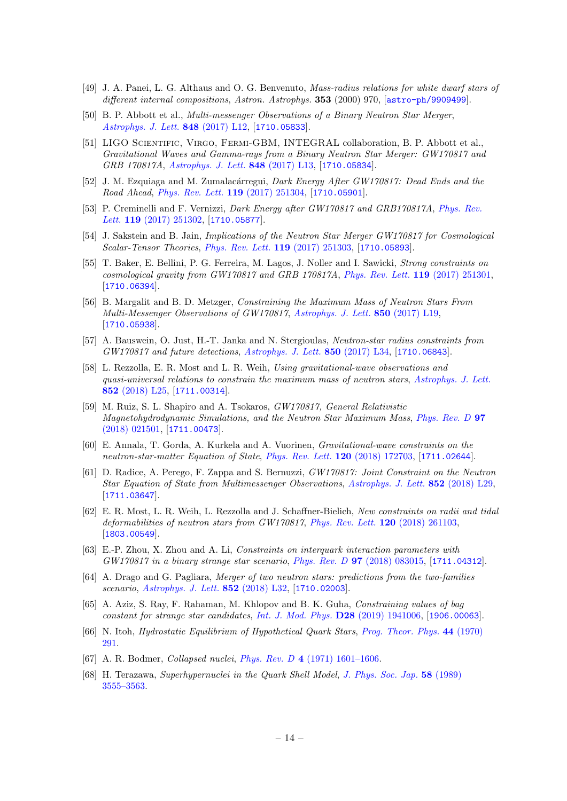- <span id="page-14-0"></span>[49] J. A. Panei, L. G. Althaus and O. G. Benvenuto, Mass-radius relations for white dwarf stars of different internal compositions, Astron. Astrophys. 353 (2000) 970, [[astro-ph/9909499](https://arxiv.org/abs/astro-ph/9909499)].
- <span id="page-14-1"></span>[50] B. P. Abbott et al., Multi-messenger Observations of a Binary Neutron Star Merger, [Astrophys. J. Lett.](https://doi.org/10.3847/2041-8213/aa91c9) 848 (2017) L12, [[1710.05833](https://arxiv.org/abs/1710.05833)].
- <span id="page-14-2"></span>[51] LIGO Scientific, Virgo, Fermi-GBM, INTEGRAL collaboration, B. P. Abbott et al., Gravitational Waves and Gamma-rays from a Binary Neutron Star Merger: GW170817 and GRB 170817A, [Astrophys. J. Lett.](https://doi.org/10.3847/2041-8213/aa920c) 848 (2017) L13, [[1710.05834](https://arxiv.org/abs/1710.05834)].
- <span id="page-14-3"></span>[52] J. M. Ezquiaga and M. Zumalacárregui, Dark Energy After GW170817: Dead Ends and the Road Ahead, [Phys. Rev. Lett.](https://doi.org/10.1103/PhysRevLett.119.251304) 119 (2017) 251304, [[1710.05901](https://arxiv.org/abs/1710.05901)].
- [53] P. Creminelli and F. Vernizzi, Dark Energy after GW170817 and GRB170817A, [Phys. Rev.](https://doi.org/10.1103/PhysRevLett.119.251302) Lett. **119** [\(2017\) 251302,](https://doi.org/10.1103/PhysRevLett.119.251302) [[1710.05877](https://arxiv.org/abs/1710.05877)].
- [54] J. Sakstein and B. Jain, Implications of the Neutron Star Merger GW170817 for Cosmological Scalar-Tensor Theories, [Phys. Rev. Lett.](https://doi.org/10.1103/PhysRevLett.119.251303) 119 (2017) 251303, [[1710.05893](https://arxiv.org/abs/1710.05893)].
- <span id="page-14-4"></span>[55] T. Baker, E. Bellini, P. G. Ferreira, M. Lagos, J. Noller and I. Sawicki, Strong constraints on cosmological gravity from GW170817 and GRB 170817A, [Phys. Rev. Lett.](https://doi.org/10.1103/PhysRevLett.119.251301) 119 (2017) 251301, [[1710.06394](https://arxiv.org/abs/1710.06394)].
- <span id="page-14-5"></span>[56] B. Margalit and B. D. Metzger, Constraining the Maximum Mass of Neutron Stars From Multi-Messenger Observations of GW170817, [Astrophys. J. Lett.](https://doi.org/10.3847/2041-8213/aa991c) 850 (2017) L19, [[1710.05938](https://arxiv.org/abs/1710.05938)].
- [57] A. Bauswein, O. Just, H.-T. Janka and N. Stergioulas, Neutron-star radius constraints from GW170817 and future detections, [Astrophys. J. Lett.](https://doi.org/10.3847/2041-8213/aa9994) 850 (2017) L34, [[1710.06843](https://arxiv.org/abs/1710.06843)].
- [58] L. Rezzolla, E. R. Most and L. R. Weih, Using gravitational-wave observations and quasi-universal relations to constrain the maximum mass of neutron stars, [Astrophys. J. Lett.](https://doi.org/10.3847/2041-8213/aaa401) 852 [\(2018\) L25,](https://doi.org/10.3847/2041-8213/aaa401) [[1711.00314](https://arxiv.org/abs/1711.00314)].
- [59] M. Ruiz, S. L. Shapiro and A. Tsokaros, GW170817, General Relativistic Magnetohydrodynamic Simulations, and the Neutron Star Maximum Mass, [Phys. Rev. D](https://doi.org/10.1103/PhysRevD.97.021501) 97 [\(2018\) 021501,](https://doi.org/10.1103/PhysRevD.97.021501) [[1711.00473](https://arxiv.org/abs/1711.00473)].
- [60] E. Annala, T. Gorda, A. Kurkela and A. Vuorinen, Gravitational-wave constraints on the neutron-star-matter Equation of State, [Phys. Rev. Lett.](https://doi.org/10.1103/PhysRevLett.120.172703) 120 (2018) 172703, [[1711.02644](https://arxiv.org/abs/1711.02644)].
- [61] D. Radice, A. Perego, F. Zappa and S. Bernuzzi, GW170817: Joint Constraint on the Neutron Star Equation of State from Multimessenger Observations, [Astrophys. J. Lett.](https://doi.org/10.3847/2041-8213/aaa402) 852 (2018) L29, [[1711.03647](https://arxiv.org/abs/1711.03647)].
- <span id="page-14-6"></span>[62] E. R. Most, L. R. Weih, L. Rezzolla and J. Schaffner-Bielich, New constraints on radii and tidal deformabilities of neutron stars from GW170817, [Phys. Rev. Lett.](https://doi.org/10.1103/PhysRevLett.120.261103) 120 (2018) 261103, [[1803.00549](https://arxiv.org/abs/1803.00549)].
- <span id="page-14-7"></span>[63] E.-P. Zhou, X. Zhou and A. Li, Constraints on interquark interaction parameters with GW170817 in a binary strange star scenario, Phys. Rev. D 97 [\(2018\) 083015,](https://doi.org/10.1103/PhysRevD.97.083015) [[1711.04312](https://arxiv.org/abs/1711.04312)].
- <span id="page-14-8"></span>[64] A. Drago and G. Pagliara, Merger of two neutron stars: predictions from the two-families scenario, [Astrophys. J. Lett.](https://doi.org/10.3847/2041-8213/aaa40a) 852 (2018) L32, [[1710.02003](https://arxiv.org/abs/1710.02003)].
- <span id="page-14-11"></span>[65] A. Aziz, S. Ray, F. Rahaman, M. Khlopov and B. K. Guha, Constraining values of bag constant for strange star candidates, [Int. J. Mod. Phys.](https://doi.org/10.1142/S0218271819410062)  $D28$  (2019) 1941006, [[1906.00063](https://arxiv.org/abs/1906.00063)].
- <span id="page-14-9"></span>[66] N. Itoh, Hydrostatic Equilibrium of Hypothetical Quark Stars, [Prog. Theor. Phys.](https://doi.org/10.1143/PTP.44.291) 44 (1970) [291.](https://doi.org/10.1143/PTP.44.291)
- <span id="page-14-10"></span>[67] A. R. Bodmer, Collapsed nuclei, Phys. Rev. D 4 [\(1971\) 1601–1606.](https://doi.org/10.1103/PhysRevD.4.1601)
- <span id="page-14-12"></span>[68] H. Terazawa, Superhypernuclei in the Quark Shell Model, [J. Phys. Soc. Jap.](https://doi.org/10.1143/JPSJ.58.3555) 58 (1989) [3555–3563.](https://doi.org/10.1143/JPSJ.58.3555)